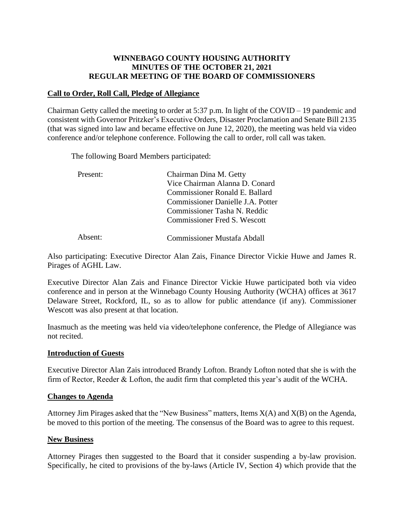# **WINNEBAGO COUNTY HOUSING AUTHORITY MINUTES OF THE OCTOBER 21, 2021 REGULAR MEETING OF THE BOARD OF COMMISSIONERS**

#### **Call to Order, Roll Call, Pledge of Allegiance**

Chairman Getty called the meeting to order at 5:37 p.m. In light of the COVID – 19 pandemic and consistent with Governor Pritzker's Executive Orders, Disaster Proclamation and Senate Bill 2135 (that was signed into law and became effective on June 12, 2020), the meeting was held via video conference and/or telephone conference. Following the call to order, roll call was taken.

The following Board Members participated:

| Present: | Chairman Dina M. Getty<br>Vice Chairman Alanna D. Conard<br>Commissioner Ronald E. Ballard<br>Commissioner Danielle J.A. Potter<br>Commissioner Tasha N. Reddic<br>Commissioner Fred S. Wescott |
|----------|-------------------------------------------------------------------------------------------------------------------------------------------------------------------------------------------------|
| Absent:  | <b>Commissioner Mustafa Abdall</b>                                                                                                                                                              |

Also participating: Executive Director Alan Zais, Finance Director Vickie Huwe and James R. Pirages of AGHL Law.

Executive Director Alan Zais and Finance Director Vickie Huwe participated both via video conference and in person at the Winnebago County Housing Authority (WCHA) offices at 3617 Delaware Street, Rockford, IL, so as to allow for public attendance (if any). Commissioner Wescott was also present at that location.

Inasmuch as the meeting was held via video/telephone conference, the Pledge of Allegiance was not recited.

#### **Introduction of Guests**

Executive Director Alan Zais introduced Brandy Lofton. Brandy Lofton noted that she is with the firm of Rector, Reeder & Lofton, the audit firm that completed this year's audit of the WCHA.

#### **Changes to Agenda**

Attorney Jim Pirages asked that the "New Business" matters, Items X(A) and X(B) on the Agenda, be moved to this portion of the meeting. The consensus of the Board was to agree to this request.

# **New Business**

Attorney Pirages then suggested to the Board that it consider suspending a by-law provision. Specifically, he cited to provisions of the by-laws (Article IV, Section 4) which provide that the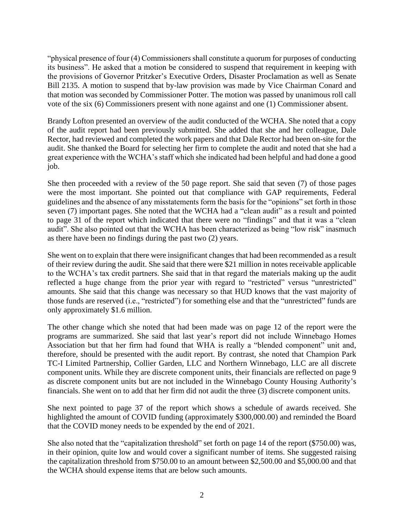"physical presence of four (4) Commissioners shall constitute a quorum for purposes of conducting its business". He asked that a motion be considered to suspend that requirement in keeping with the provisions of Governor Pritzker's Executive Orders, Disaster Proclamation as well as Senate Bill 2135. A motion to suspend that by-law provision was made by Vice Chairman Conard and that motion was seconded by Commissioner Potter. The motion was passed by unanimous roll call vote of the six (6) Commissioners present with none against and one (1) Commissioner absent.

Brandy Lofton presented an overview of the audit conducted of the WCHA. She noted that a copy of the audit report had been previously submitted. She added that she and her colleague, Dale Rector, had reviewed and completed the work papers and that Dale Rector had been on-site for the audit. She thanked the Board for selecting her firm to complete the audit and noted that she had a great experience with the WCHA's staff which she indicated had been helpful and had done a good job.

She then proceeded with a review of the 50 page report. She said that seven (7) of those pages were the most important. She pointed out that compliance with GAP requirements, Federal guidelines and the absence of any misstatements form the basis for the "opinions" set forth in those seven (7) important pages. She noted that the WCHA had a "clean audit" as a result and pointed to page 31 of the report which indicated that there were no "findings" and that it was a "clean audit". She also pointed out that the WCHA has been characterized as being "low risk" inasmuch as there have been no findings during the past two (2) years.

She went on to explain that there were insignificant changes that had been recommended as a result of their review during the audit. She said that there were \$21 million in notes receivable applicable to the WCHA's tax credit partners. She said that in that regard the materials making up the audit reflected a huge change from the prior year with regard to "restricted" versus "unrestricted" amounts. She said that this change was necessary so that HUD knows that the vast majority of those funds are reserved (i.e., "restricted") for something else and that the "unrestricted" funds are only approximately \$1.6 million.

The other change which she noted that had been made was on page 12 of the report were the programs are summarized. She said that last year's report did not include Winnebago Homes Association but that her firm had found that WHA is really a "blended component" unit and, therefore, should be presented with the audit report. By contrast, she noted that Champion Park TC-I Limited Partnership, Collier Garden, LLC and Northern Winnebago, LLC are all discrete component units. While they are discrete component units, their financials are reflected on page 9 as discrete component units but are not included in the Winnebago County Housing Authority's financials. She went on to add that her firm did not audit the three (3) discrete component units.

She next pointed to page 37 of the report which shows a schedule of awards received. She highlighted the amount of COVID funding (approximately \$300,000.00) and reminded the Board that the COVID money needs to be expended by the end of 2021.

She also noted that the "capitalization threshold" set forth on page 14 of the report (\$750.00) was, in their opinion, quite low and would cover a significant number of items. She suggested raising the capitalization threshold from \$750.00 to an amount between \$2,500.00 and \$5,000.00 and that the WCHA should expense items that are below such amounts.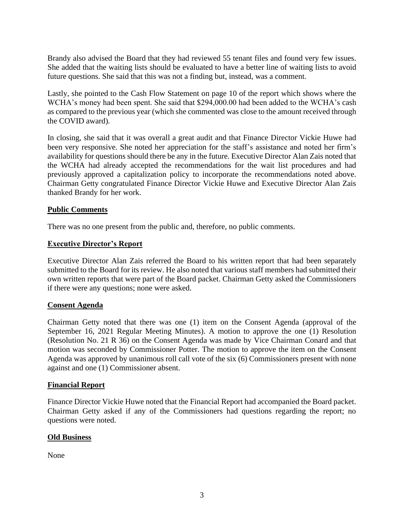Brandy also advised the Board that they had reviewed 55 tenant files and found very few issues. She added that the waiting lists should be evaluated to have a better line of waiting lists to avoid future questions. She said that this was not a finding but, instead, was a comment.

Lastly, she pointed to the Cash Flow Statement on page 10 of the report which shows where the WCHA's money had been spent. She said that \$294,000.00 had been added to the WCHA's cash as compared to the previous year (which she commented was close to the amount received through the COVID award).

In closing, she said that it was overall a great audit and that Finance Director Vickie Huwe had been very responsive. She noted her appreciation for the staff's assistance and noted her firm's availability for questions should there be any in the future. Executive Director Alan Zais noted that the WCHA had already accepted the recommendations for the wait list procedures and had previously approved a capitalization policy to incorporate the recommendations noted above. Chairman Getty congratulated Finance Director Vickie Huwe and Executive Director Alan Zais thanked Brandy for her work.

## **Public Comments**

There was no one present from the public and, therefore, no public comments.

## **Executive Director's Report**

Executive Director Alan Zais referred the Board to his written report that had been separately submitted to the Board for its review. He also noted that various staff members had submitted their own written reports that were part of the Board packet. Chairman Getty asked the Commissioners if there were any questions; none were asked.

#### **Consent Agenda**

Chairman Getty noted that there was one (1) item on the Consent Agenda (approval of the September 16, 2021 Regular Meeting Minutes). A motion to approve the one (1) Resolution (Resolution No. 21 R 36) on the Consent Agenda was made by Vice Chairman Conard and that motion was seconded by Commissioner Potter. The motion to approve the item on the Consent Agenda was approved by unanimous roll call vote of the six (6) Commissioners present with none against and one (1) Commissioner absent.

#### **Financial Report**

Finance Director Vickie Huwe noted that the Financial Report had accompanied the Board packet. Chairman Getty asked if any of the Commissioners had questions regarding the report; no questions were noted.

#### **Old Business**

None